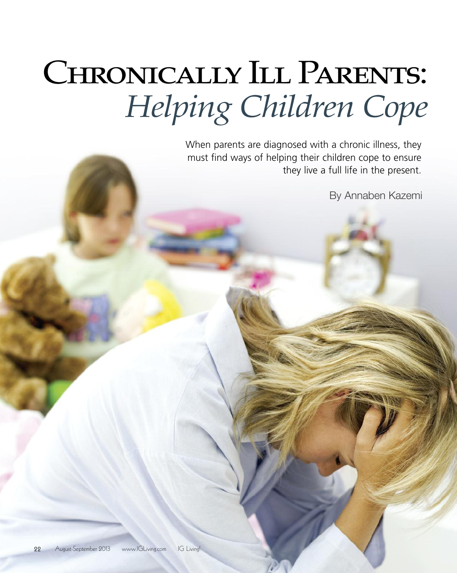# CHRONICALLY ILL PARENTS: *Helping Children Cope*

When parents are diagnosed with a chronic illness, they must find ways of helping their children cope to ensure they live a full life in the present.

By Annaben Kazemi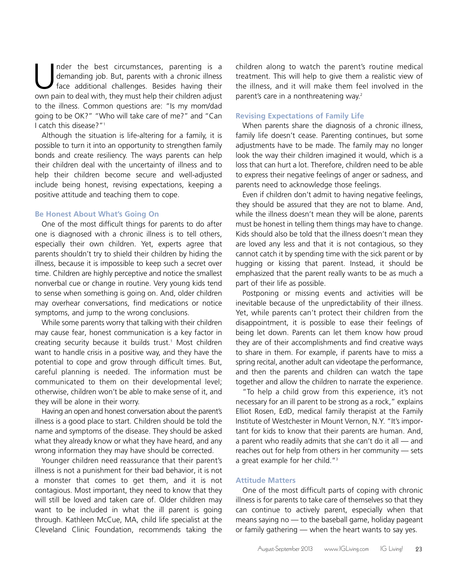I nder the best circumstances, parenting is a<br>demanding job. But, parents with a chronic illness<br>face additional challenges. Besides having their<br>own pain to deal with they must help their children adjust demanding job. But, parents with a chronic illness face additional challenges. Besides having their own pain to deal with, they must help their children adjust to the illness. Common questions are: "Is my mom/dad going to be OK?" "Who will take care of me?" and "Can I catch this disease?"1

Although the situation is life-altering for a family, it is possible to turn it into an opportunity to strengthen family bonds and create resiliency. The ways parents can help their children deal with the uncertainty of illness and to help their children become secure and well-adjusted include being honest, revising expectations, keeping a positive attitude and teaching them to cope.

### **Be Honest About What's Going On**

One of the most difficult things for parents to do after one is diagnosed with a chronic illness is to tell others, especially their own children. Yet, experts agree that parents shouldn't try to shield their children by hiding the illness, because it is impossible to keep such a secret over time. Children are highly perceptive and notice the smallest nonverbal cue or change in routine. Very young kids tend to sense when something is going on. And, older children may overhear conversations, find medications or notice symptoms, and jump to the wrong conclusions.

While some parents worry that talking with their children may cause fear, honest communication is a key factor in creating security because it builds trust. <sup>1</sup> Most children want to handle crisis in a positive way, and they have the potential to cope and grow through difficult times. But, careful planning is needed. The information must be communicated to them on their developmental level; otherwise, children won't be able to make sense of it, and they will be alone in their worry.

Having an open and honest conversation about the parent's illness is a good place to start. Children should be told the name and symptoms of the disease. They should be asked what they already know or what they have heard, and any wrong information they may have should be corrected.

Younger children need reassurance that their parent's illness is not a punishment for their bad behavior, it is not a monster that comes to get them, and it is not contagious. Most important, they need to know that they will still be loved and taken care of. Older children may want to be included in what the ill parent is going through. Kathleen McCue, MA, child life specialist at the Cleveland Clinic Foundation, recommends taking the

children along to watch the parent's routine medical treatment. This will help to give them a realistic view of the illness, and it will make them feel involved in the parent's care in a nonthreatening way. 2

#### **Revising Expectations of Family Life**

When parents share the diagnosis of a chronic illness, family life doesn't cease. Parenting continues, but some adjustments have to be made. The family may no longer look the way their children imagined it would, which is a loss that can hurt a lot. Therefore, children need to be able to express their negative feelings of anger or sadness, and parents need to acknowledge those feelings.

Even if children don't admit to having negative feelings, they should be assured that they are not to blame. And, while the illness doesn't mean they will be alone, parents must be honest in telling them things may have to change. Kids should also be told that the illness doesn't mean they are loved any less and that it is not contagious, so they cannot catch it by spending time with the sick parent or by hugging or kissing that parent. Instead, it should be emphasized that the parent really wants to be as much a part of their life as possible.

Postponing or missing events and activities will be inevitable because of the unpredictability of their illness. Yet, while parents can't protect their children from the disappointment, it is possible to ease their feelings of being let down. Parents can let them know how proud they are of their accomplishments and find creative ways to share in them. For example, if parents have to miss a spring recital, another adult can videotape the performance, and then the parents and children can watch the tape together and allow the children to narrate the experience.

"To help a child grow from this experience, it's not necessary for an ill parent to be strong as a rock," explains Elliot Rosen, EdD, medical family therapist at the Family Institute of Westchester in Mount Vernon, N.Y. "It's important for kids to know that their parents are human. And, a parent who readily admits that she can't do it all — and reaches out for help from others in her community — sets a great example for her child."<sup>3</sup>

# **Attitude Matters**

One of the most difficult parts of coping with chronic illness is for parents to take care of themselves so that they can continue to actively parent, especially when that means saying no — to the baseball game, holiday pageant or family gathering — when the heart wants to say yes.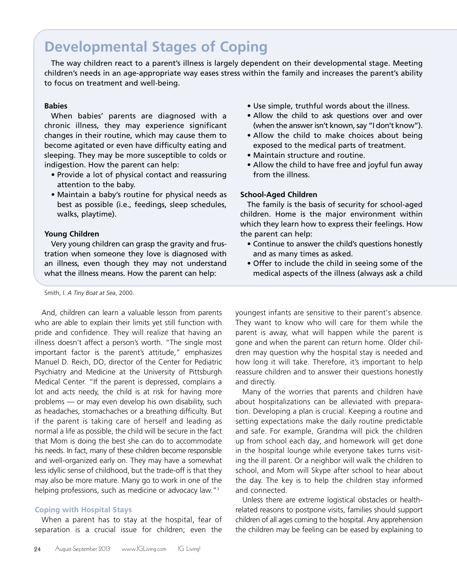# **Developmental Stages of Coping**

The way children react to a parent's illness is largely dependent on their developmental stage. Meeting children's needs in an age-appropriate way eases stress within the family and increases the parent's ability to focus on treatment and well-being.

# **Babies**

When babies' parents are diagnosed with a chronic illness, they may experience significant changes in their routine, which may cause them to become agitated or even have difficulty eating and sleeping. They may be more susceptible to colds or indigestion. How the parent can help:

- Provide a lot of physical contact and reassuring attention to the baby.
- Maintain a baby's routine for physical needs as best as possible (i.e., feedings, sleep schedules, walks, playtime).

## **Young Children**

Very young children can grasp the gravity and frustration when someone they love is diagnosed with an illness, even though they may not understand what the illness means. How the parent can help:

Smith, I. *A Tiny Boat at Sea*, 2000.

And, children can learn a valuable lesson from parents who are able to explain their limits yet still function with pride and confidence. They will realize that having an illness doesn't affect a person's worth. "The single most important factor is the parent's attitude," emphasizes Manuel D. Reich, DO, director of the Center for Pediatric Psychiatry and Medicine at the University of Pittsburgh Medical Center. "If the parent is depressed, complains a lot and acts needy, the child is at risk for having more problems — or may even develop his own disability, such as headaches, stomachaches or a breathing difficulty. But if the parent is taking care of herself and leading as normal a life as possible, the child will be secure in the fact that Mom is doing the best she can do to accommodate his needs. In fact, many of these children become responsible and well-organized early on. They may have a somewhat less idyllic sense of childhood, but the trade-off is that they may also be more mature. Many go to work in one of the helping professions, such as medicine or advocacy law."<sup>3</sup>

# **Coping with Hospital Stays**

When a parent has to stay at the hospital, fear of separation is a crucial issue for children; even the

- Use simple, truthful words about the illness.
- Allow the child to ask questions over and over (when the answer isn't known, say "I don't know").
- Allow the child to make choices about being exposed to the medical parts of treatment.
- Maintain structure and routine.
- Allow the child to have free and joyful fun away from the illness.

# **School-Aged Children**

The family is the basis of security for school-aged children. Home is the major environment within which they learn how to express their feelings. How the parent can help:

- Continue to answer the child's questions honestly and as many times as asked.
- Offer to include the child in seeing some of the medical aspects of the illness (always ask a child

youngest infants are sensitive to their parent's absence. They want to know who will care for them while the parent is away, what will happen while the parent is gone and when the parent can return home. Older children may question why the hospital stay is needed and how long it will take. Therefore, it's important to help reassure children and to answer their questions honestly and directly.

Many of the worries that parents and children have about hospitalizations can be alleviated with preparation. Developing a plan is crucial. Keeping a routine and setting expectations make the daily routine predictable and safe. For example, Grandma will pick the children up from school each day, and homework will get done in the hospital lounge while everyone takes turns visiting the ill parent. Or a neighbor will walk the children to school, and Mom will Skype after school to hear about the day. The key is to help the children stay informed and connected.

Unless there are extreme logistical obstacles or healthrelated reasons to postpone visits, families should support children of all ages coming to the hospital. Any apprehension the children may be feeling can be eased by explaining to